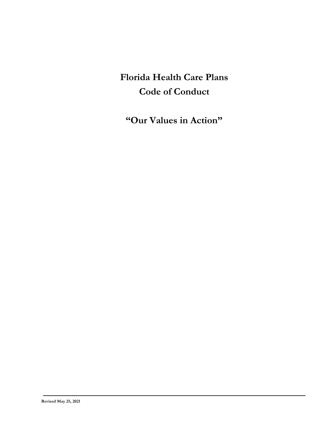# **Florida Health Care Plans Code of Conduct**

**"Our Values in Action"**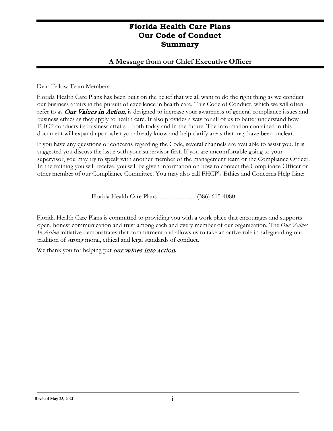#### **A Message from our Chief Executive Officer**

Dear Fellow Team Members:

Florida Health Care Plans has been built on the belief that we all want to do the right thing as we conduct our business affairs in the pursuit of excellence in health care. This Code of Conduct, which we will often refer to as *Our Values in Action*, is designed to increase your awareness of general compliance issues and business ethics as they apply to health care. It also provides a way for all of us to better understand how FHCP conducts its business affairs – both today and in the future. The information contained in this document will expand upon what you already know and help clarify areas that may have been unclear.

If you have any questions or concerns regarding the Code, several channels are available to assist you. It is suggested you discuss the issue with your supervisor first. If you are uncomfortable going to your supervisor, you may try to speak with another member of the management team or the Compliance Officer. In the training you will receive, you will be given information on how to contact the Compliance Officer or other member of our Compliance Committee. You may also call FHCP's Ethics and Concerns Help Line:

Florida Health Care Plans ...........................(386) 615-4080

Florida Health Care Plans is committed to providing you with a work place that encourages and supports open, honest communication and trust among each and every member of our organization. The *Our Values In Action* initiative demonstrates that commitment and allows us to take an active role in safeguarding our tradition of strong moral, ethical and legal standards of conduct.

We thank you for helping put our values into action.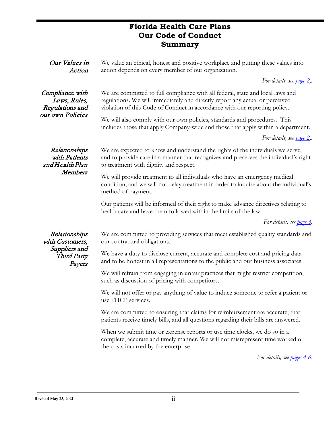| Our Values in<br>Action                                                           | We value an ethical, honest and positive workplace and putting these values into<br>action depends on every member of our organization.                                                                                                      |
|-----------------------------------------------------------------------------------|----------------------------------------------------------------------------------------------------------------------------------------------------------------------------------------------------------------------------------------------|
|                                                                                   | For details, see <u>page 2</u> ,                                                                                                                                                                                                             |
| Compliance with<br>Laws, Rules,<br>Regulations and<br>our own Policies            | We are committed to full compliance with all federal, state and local laws and<br>regulations. We will immediately and directly report any actual or perceived<br>violation of this Code of Conduct in accordance with our reporting policy. |
|                                                                                   | We will also comply with our own policies, standards and procedures. This<br>includes those that apply Company-wide and those that apply within a department.                                                                                |
|                                                                                   | For details, see page 2,.                                                                                                                                                                                                                    |
| Relationships<br>with Patients<br>and Health Plan<br>Members                      | We are expected to know and understand the rights of the individuals we serve,<br>and to provide care in a manner that recognizes and preserves the individual's right<br>to treatment with dignity and respect.                             |
|                                                                                   | We will provide treatment to all individuals who have an emergency medical<br>condition, and we will not delay treatment in order to inquire about the individual's<br>method of payment.                                                    |
|                                                                                   | Our patients will be informed of their right to make advance directives relating to<br>health care and have them followed within the limits of the law.                                                                                      |
|                                                                                   | For details, see page 3.                                                                                                                                                                                                                     |
| Relationships<br>with Customers,<br>Suppliers and<br><b>Third Party</b><br>Payers | We are committed to providing services that meet established quality standards and<br>our contractual obligations.                                                                                                                           |
|                                                                                   | We have a duty to disclose current, accurate and complete cost and pricing data<br>and to be honest in all representations to the public and our business associates.                                                                        |
|                                                                                   | We will refrain from engaging in unfair practices that might restrict competition,<br>such as discussion of pricing with competitors.                                                                                                        |
|                                                                                   | We will not offer or pay anything of value to induce someone to refer a patient or<br>use FHCP services.                                                                                                                                     |
|                                                                                   | We are committed to ensuring that claims for reimbursement are accurate, that<br>patients receive timely bills, and all questions regarding their bills are answered.                                                                        |
|                                                                                   | When we submit time or expense reports or use time clocks, we do so in a<br>complete, accurate and timely manner. We will not misrepresent time worked or<br>the costs incurred by the enterprise.                                           |

*For details, see [pages 4-6.](#page-10-0)*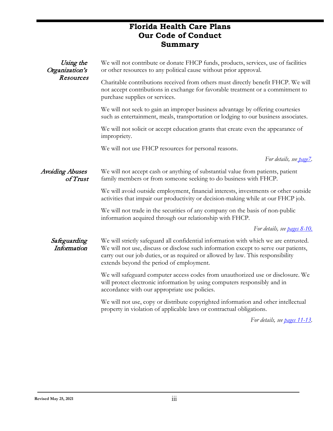| Using the<br>Organization's<br>Resources | We will not contribute or donate FHCP funds, products, services, use of facilities<br>or other resources to any political cause without prior approval.                                                                                                                                                    |
|------------------------------------------|------------------------------------------------------------------------------------------------------------------------------------------------------------------------------------------------------------------------------------------------------------------------------------------------------------|
|                                          | Charitable contributions received from others must directly benefit FHCP. We will<br>not accept contributions in exchange for favorable treatment or a commitment to<br>purchase supplies or services.                                                                                                     |
|                                          | We will not seek to gain an improper business advantage by offering courtesies<br>such as entertainment, meals, transportation or lodging to our business associates.                                                                                                                                      |
|                                          | We will not solicit or accept education grants that create even the appearance of<br>impropriety.                                                                                                                                                                                                          |
|                                          | We will not use FHCP resources for personal reasons.                                                                                                                                                                                                                                                       |
|                                          | For details, see page7.                                                                                                                                                                                                                                                                                    |
| <b>Avoiding Abuses</b><br>of Trust       | We will not accept cash or anything of substantial value from patients, patient<br>family members or from someone seeking to do business with FHCP.                                                                                                                                                        |
|                                          | We will avoid outside employment, financial interests, investments or other outside<br>activities that impair our productivity or decision-making while at our FHCP job.                                                                                                                                   |
|                                          | We will not trade in the securities of any company on the basis of non-public<br>information acquired through our relationship with FHCP.                                                                                                                                                                  |
|                                          | For details, see <b>pages 8-10.</b>                                                                                                                                                                                                                                                                        |
| Safeguarding<br>Information              | We will strictly safeguard all confidential information with which we are entrusted.<br>We will not use, discuss or disclose such information except to serve our patients,<br>carry out our job duties, or as required or allowed by law. This responsibility<br>extends beyond the period of employment. |
|                                          | We will safeguard computer access codes from unauthorized use or disclosure. We<br>will protect electronic information by using computers responsibly and in<br>accordance with our appropriate use policies.                                                                                              |
|                                          | We will not use, copy or distribute copyrighted information and other intellectual<br>property in violation of applicable laws or contractual obligations.                                                                                                                                                 |
|                                          | For details, see <b>pages</b> 11-13.                                                                                                                                                                                                                                                                       |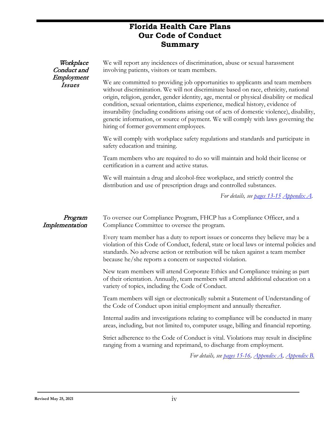| Workplace<br>Conduct and<br>Employment<br><i>Issues</i> | We will report any incidences of discrimination, abuse or sexual harassment<br>involving patients, visitors or team members.<br>We are committed to providing job opportunities to applicants and team members<br>without discrimination. We will not discriminate based on race, ethnicity, national<br>origin, religion, gender, gender identity, age, mental or physical disability or medical<br>condition, sexual orientation, claims experience, medical history, evidence of<br>insurability (including conditions arising out of acts of domestic violence), disability,<br>genetic information, or source of payment. We will comply with laws governing the<br>hiring of former government employees. |
|---------------------------------------------------------|-----------------------------------------------------------------------------------------------------------------------------------------------------------------------------------------------------------------------------------------------------------------------------------------------------------------------------------------------------------------------------------------------------------------------------------------------------------------------------------------------------------------------------------------------------------------------------------------------------------------------------------------------------------------------------------------------------------------|
|                                                         | We will comply with workplace safety regulations and standards and participate in<br>safety education and training.                                                                                                                                                                                                                                                                                                                                                                                                                                                                                                                                                                                             |
|                                                         | Team members who are required to do so will maintain and hold their license or<br>certification in a current and active status.                                                                                                                                                                                                                                                                                                                                                                                                                                                                                                                                                                                 |
|                                                         | We will maintain a drug and alcohol-free workplace, and strictly control the<br>distribution and use of prescription drugs and controlled substances.                                                                                                                                                                                                                                                                                                                                                                                                                                                                                                                                                           |
|                                                         | For details, see pages 13-15 Appendix A.                                                                                                                                                                                                                                                                                                                                                                                                                                                                                                                                                                                                                                                                        |
| Program<br>Implementation                               | To oversee our Compliance Program, FHCP has a Compliance Officer, and a<br>Compliance Committee to oversee the program.                                                                                                                                                                                                                                                                                                                                                                                                                                                                                                                                                                                         |
|                                                         | Every team member has a duty to report issues or concerns they believe may be a<br>violation of this Code of Conduct, federal, state or local laws or internal policies and<br>standards. No adverse action or retribution will be taken against a team member<br>because he/she reports a concern or suspected violation.                                                                                                                                                                                                                                                                                                                                                                                      |
|                                                         | New team members will attend Corporate Ethics and Compliance training as part<br>of their orientation. Annually, team members will attend additional education on a<br>variety of topics, including the Code of Conduct.                                                                                                                                                                                                                                                                                                                                                                                                                                                                                        |
|                                                         | Team members will sign or electronically submit a Statement of Understanding of<br>the Code of Conduct upon initial employment and annually thereafter.                                                                                                                                                                                                                                                                                                                                                                                                                                                                                                                                                         |
|                                                         | Internal audits and investigations relating to compliance will be conducted in many<br>areas, including, but not limited to, computer usage, billing and financial reporting.                                                                                                                                                                                                                                                                                                                                                                                                                                                                                                                                   |
|                                                         | Strict adherence to the Code of Conduct is vital. Violations may result in discipline<br>ranging from a warning and reprimand, to discharge from employment.                                                                                                                                                                                                                                                                                                                                                                                                                                                                                                                                                    |
|                                                         | For details see pages $15.16$ Appendix $\Delta$ Appendix R                                                                                                                                                                                                                                                                                                                                                                                                                                                                                                                                                                                                                                                      |

*For details, see [pages 15-16,](#page-21-0) [Appendix A,](#page-24-0) [Appendix B.](#page-6-0)*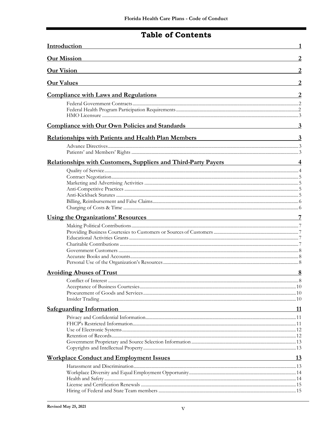# **Table of Contents**

| Introduction<br><b>Our Mission</b>                                                                                                                                                                                                                               |                         |  |
|------------------------------------------------------------------------------------------------------------------------------------------------------------------------------------------------------------------------------------------------------------------|-------------------------|--|
|                                                                                                                                                                                                                                                                  |                         |  |
| <b>Our Values</b>                                                                                                                                                                                                                                                |                         |  |
| <b>Compliance with Laws and Regulations</b><br><u> 1989 - Johann Stoff, amerikansk politiker (d. 1989)</u>                                                                                                                                                       |                         |  |
|                                                                                                                                                                                                                                                                  |                         |  |
| <b>Compliance with Our Own Policies and Standards</b><br><u> 1989 - Johann Barnett, fransk politiker (d. 1989)</u>                                                                                                                                               | $\overline{3}$          |  |
| <b>Relationships with Patients and Health Plan Members Exercise 2016</b>                                                                                                                                                                                         | $\overline{\mathbf{3}}$ |  |
|                                                                                                                                                                                                                                                                  |                         |  |
| <b>Relationships with Customers, Suppliers and Third-Party Payers</b>                                                                                                                                                                                            |                         |  |
|                                                                                                                                                                                                                                                                  |                         |  |
| Using the Organizations' Resources <b>Example 2018</b>                                                                                                                                                                                                           |                         |  |
|                                                                                                                                                                                                                                                                  |                         |  |
| <b>Avoiding Abuses of Trust</b><br><u> 1989 - Andrea Stadt Britain, amerikansk politik (* 1908)</u>                                                                                                                                                              |                         |  |
|                                                                                                                                                                                                                                                                  |                         |  |
| <b>Safeguarding Information</b><br>the control of the control of the control of the control of the control of the control of the control of the control of the control of the control of the control of the control of the control of the control of the control | 11                      |  |
|                                                                                                                                                                                                                                                                  |                         |  |
| <b>Workplace Conduct and Employment Issues</b><br><u> 1989 - Johann Stoff, deutscher Stoffen und der Stoffen und der Stoffen und der Stoffen und der Stoffen und der</u>                                                                                         | <u>13</u>               |  |
|                                                                                                                                                                                                                                                                  |                         |  |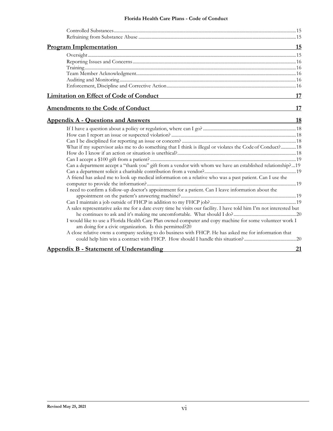#### **Florida Health Care Plans - Code of Conduct**

<span id="page-6-0"></span>

| <b>Program Implementation</b>                                                                                                                                       | 15 |
|---------------------------------------------------------------------------------------------------------------------------------------------------------------------|----|
|                                                                                                                                                                     |    |
|                                                                                                                                                                     |    |
|                                                                                                                                                                     |    |
|                                                                                                                                                                     |    |
|                                                                                                                                                                     |    |
|                                                                                                                                                                     |    |
| <b>Limitation on Effect of Code of Conduct</b>                                                                                                                      | 17 |
| <b>Amendments to the Code of Conduct</b>                                                                                                                            | 17 |
| <b>Appendix A - Questions and Answers</b><br>the control of the control of the control of the control of the control of the control of                              | 18 |
|                                                                                                                                                                     |    |
|                                                                                                                                                                     |    |
|                                                                                                                                                                     |    |
| What if my supervisor asks me to do something that I think is illegal or violates the Code of Conduct? 18                                                           |    |
|                                                                                                                                                                     |    |
|                                                                                                                                                                     |    |
| Can a department accept a "thank you" gift from a vendor with whom we have an established relationship?19                                                           |    |
|                                                                                                                                                                     |    |
| A friend has asked me to look up medical information on a relative who was a past patient. Can I use the                                                            |    |
|                                                                                                                                                                     |    |
| I need to confirm a follow-up doctor's appointment for a patient. Can I leave information about the                                                                 |    |
|                                                                                                                                                                     |    |
|                                                                                                                                                                     |    |
| A sales representative asks me for a date every time he visits our facility. I have told him I'm not interested but                                                 |    |
|                                                                                                                                                                     |    |
| I would like to use a Florida Health Care Plan owned computer and copy machine for some volunteer work I<br>am doing for a civic organization. Is this permitted?20 |    |
| A close relative owns a company seeking to do business with FHCP. He has asked me for information that                                                              |    |
|                                                                                                                                                                     |    |
| <b>Appendix B - Statement of Understanding</b>                                                                                                                      | 21 |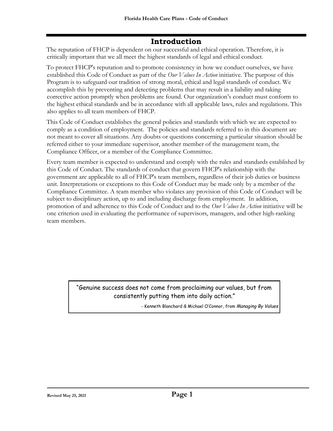# **Introduction**

<span id="page-7-0"></span>The reputation of FHCP is dependent on our successful and ethical operation. Therefore, it is critically important that we all meet the highest standards of legal and ethical conduct.

To protect FHCP's reputation and to promote consistency in how we conduct ourselves, we have established this Code of Conduct as part of the *Our Values In Action* initiative. The purpose of this Program is to safeguard our tradition of strong moral, ethical and legal standards of conduct. We accomplish this by preventing and detecting problems that may result in a liability and taking corrective action promptly when problems are found. Our organization's conduct must conform to the highest ethical standards and be in accordance with all applicable laws, rules and regulations. This also applies to all team members of FHCP.

This Code of Conduct establishes the general policies and standards with which we are expected to comply as a condition of employment. The policies and standards referred to in this document are not meant to cover all situations. Any doubts or questions concerning a particular situation should be referred either to your immediate supervisor, another member of the management team, the Compliance Officer, or a member of the Compliance Committee.

Every team member is expected to understand and comply with the rules and standards established by this Code of Conduct. The standards of conduct that govern FHCP's relationship with the government are applicable to all of FHCP's team members, regardless of their job duties or business unit. Interpretations or exceptions to this Code of Conduct may be made only by a member of the Compliance Committee. A team member who violates any provision of this Code of Conduct will be subject to disciplinary action, up to and including discharge from employment. In addition, promotion of and adherence to this Code of Conduct and to the *Our Values In Action* initiative will be one criterion used in evaluating the performance of supervisors, managers, and other high-ranking team members.

> "Genuine success does not come from proclaiming our values, but from consistently putting them into daily action."

> > - Kenneth Blanchard & Michael O'Connor, from *Managing By Values*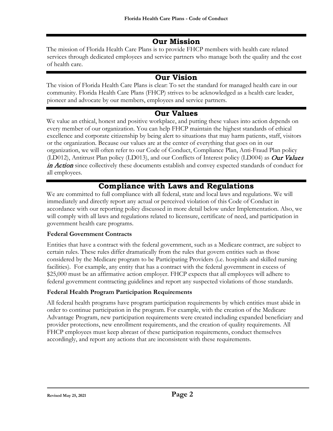# **Our Mission**

<span id="page-8-0"></span>The mission of Florida Health Care Plans is to provide FHCP members with health care related services through dedicated employees and service partners who manage both the quality and the cost of health care.

# **Our Vision**

<span id="page-8-2"></span>The vision of Florida Health Care Plans is clear: To set the standard for managed health care in our community. Florida Health Care Plans (FHCP) strives to be acknowledged as a health care leader, pioneer and advocate by our members, employees and service partners.

# **Our Values**

<span id="page-8-3"></span>We value an ethical, honest and positive workplace, and putting these values into action depends on every member of our organization. You can help FHCP maintain the highest standards of ethical excellence and corporate citizenship by being alert to situations that may harm patients, staff, visitors or the organization. Because our values are at the center of everything that goes on in our organization, we will often refer to our Code of Conduct, Compliance Plan, Anti-Fraud Plan policy (LD012), Antitrust Plan policy (LD013), and our Conflicts of Interest policy (LD004) as Our Values in Action since collectively these documents establish and convey expected standards of conduct for all employees.

# **Compliance with Laws and Regulations**

<span id="page-8-1"></span>We are committed to full compliance with all federal, state and local laws and regulations. We will immediately and directly report any actual or perceived violation of this Code of Conduct in accordance with our reporting policy discussed in more detail below under Implementation. Also, we will comply with all laws and regulations related to licensure, certificate of need, and participation in government health care programs.

#### <span id="page-8-4"></span>**Federal Government Contracts**

Entities that have a contract with the federal government, such as a Medicare contract, are subject to certain rules. These rules differ dramatically from the rules that govern entities such as those considered by the Medicare program to be Participating Providers (i.e. hospitals and skilled nursing facilities). For example, any entity that has a contract with the federal government in excess of \$25,000 must be an affirmative action employer. FHCP expects that all employees will adhere to federal government contracting guidelines and report any suspected violations of those standards.

#### <span id="page-8-5"></span>**Federal Health Program Participation Requirements**

All federal health programs have program participation requirements by which entities must abide in order to continue participation in the program. For example, with the creation of the Medicare Advantage Program, new participation requirements were created including expanded beneficiary and provider protections, new enrollment requirements, and the creation of quality requirements. All FHCP employees must keep abreast of these participation requirements, conduct themselves accordingly, and report any actions that are inconsistent with these requirements.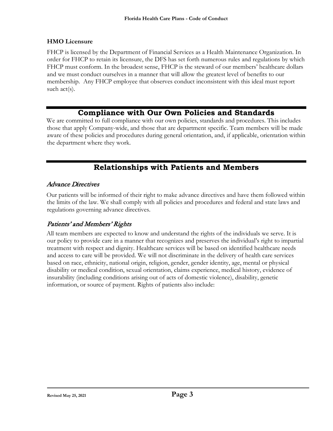#### <span id="page-9-1"></span>**HMO Licensure**

FHCP is licensed by the Department of Financial Services as a Health Maintenance Organization. In order for FHCP to retain its licensure, the DFS has set forth numerous rules and regulations by which FHCP must conform. In the broadest sense, FHCP is the steward of our members' healthcare dollars and we must conduct ourselves in a manner that will allow the greatest level of benefits to our membership. Any FHCP employee that observes conduct inconsistent with this ideal must report such act(s).

### **Compliance with Our Own Policies and Standards**

<span id="page-9-2"></span>We are committed to full compliance with our own policies, standards and procedures. This includes those that apply Company-wide, and those that are department specific. Team members will be made aware of these policies and procedures during general orientation, and, if applicable, orientation within the department where they work.

# **Relationships with Patients and Members**

#### <span id="page-9-3"></span><span id="page-9-0"></span>Advance Directives

Our patients will be informed of their right to make advance directives and have them followed within the limits of the law. We shall comply with all policies and procedures and federal and state laws and regulations governing advance directives.

#### <span id="page-9-4"></span>Patients' and Members' Rights

All team members are expected to know and understand the rights of the individuals we serve. It is our policy to provide care in a manner that recognizes and preserves the individual's right to impartial treatment with respect and dignity. Healthcare services will be based on identified healthcare needs and access to care will be provided. We will not discriminate in the delivery of health care services based on race, ethnicity, national origin, religion, gender, gender identity, age, mental or physical disability or medical condition, sexual orientation, claims experience, medical history, evidence of insurability (including conditions arising out of acts of domestic violence), disability, genetic information, or source of payment. Rights of patients also include: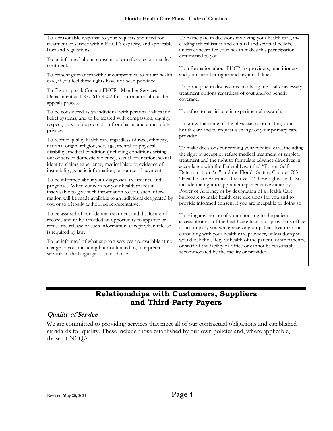| To a reasonable response to your requests and need for<br>treatment or service within FHCP's capacity, and applicable<br>laws and regulations.                                                     | To participate in decisions involving your health care, in-<br>cluding ethical issues and cultural and spiritual beliefs,<br>unless concern for your health makes this participation<br>detrimental to you.<br>To information about FHCP, its providers, practitioners<br>and your member rights and responsibilities. |  |
|----------------------------------------------------------------------------------------------------------------------------------------------------------------------------------------------------|------------------------------------------------------------------------------------------------------------------------------------------------------------------------------------------------------------------------------------------------------------------------------------------------------------------------|--|
| To be informed about, consent to, or refuse recommended<br>treatment.                                                                                                                              |                                                                                                                                                                                                                                                                                                                        |  |
| To present grievances without compromise to future health<br>care, if you feel these rights have not been provided.                                                                                |                                                                                                                                                                                                                                                                                                                        |  |
| To file an appeal. Contact FHCP's Member Services                                                                                                                                                  | To participate in discussions involving medically necessary                                                                                                                                                                                                                                                            |  |
| Department at 1-877-615-4022 for information about the                                                                                                                                             | treatment options regardless of cost and/or benefit                                                                                                                                                                                                                                                                    |  |
| appeals process.                                                                                                                                                                                   | coverage.                                                                                                                                                                                                                                                                                                              |  |
| To be considered as an individual with personal values and<br>belief systems, and to be treated with compassion, dignity,<br>respect, reasonable protection from harm, and appropriate<br>privacy. | To refuse to participate in experimental research.<br>To know the name of the physician coordinating your<br>health care and to request a change of your primary care                                                                                                                                                  |  |
| To receive quality health care regardless of race, ethnicity,                                                                                                                                      | provider.                                                                                                                                                                                                                                                                                                              |  |
| national origin, religion, sex, age, mental or physical                                                                                                                                            | To make decisions concerning your medical care, including                                                                                                                                                                                                                                                              |  |
| disability, medical condition (including conditions arising                                                                                                                                        | the right to accept or refuse medical treatment or surgical                                                                                                                                                                                                                                                            |  |
| out of acts of domestic violence), sexual orientation, sexual                                                                                                                                      | treatment and the right to formulate advance directives in                                                                                                                                                                                                                                                             |  |
| identity, claims experience, medical history, evidence of                                                                                                                                          | accordance with the Federal Law titled "Patient Self-                                                                                                                                                                                                                                                                  |  |
| insurability, genetic information, or source of payment.                                                                                                                                           | Determination Act" and the Florida Statute Chapter 765                                                                                                                                                                                                                                                                 |  |
| To be informed about your diagnoses, treatments, and                                                                                                                                               | "Health Care Advance Directives." These rights shall also                                                                                                                                                                                                                                                              |  |
| prognoses. When concern for your health makes it                                                                                                                                                   | include the right to appoint a representative either by                                                                                                                                                                                                                                                                |  |
| inadvisable to give such information to you, such infor-                                                                                                                                           | Power of Attorney or by designation of a Health Care                                                                                                                                                                                                                                                                   |  |
| mation will be made available to an individual designated by                                                                                                                                       | Surrogate to make health care decisions for you and to                                                                                                                                                                                                                                                                 |  |
| you or to a legally authorized representative.                                                                                                                                                     | provide informed consent if you are incapable of doing so.                                                                                                                                                                                                                                                             |  |
| To be assured of confidential treatment and disclosure of                                                                                                                                          | To bring any person of your choosing to the patient                                                                                                                                                                                                                                                                    |  |
| records and to be afforded an opportunity to approve or                                                                                                                                            | accessible areas of the healthcare facility or provider's office                                                                                                                                                                                                                                                       |  |
| refuse the release of such information, except when release                                                                                                                                        | to accompany you while receiving outpatient treatment or                                                                                                                                                                                                                                                               |  |
| is required by law.                                                                                                                                                                                | consulting with your health care provider, unless doing so                                                                                                                                                                                                                                                             |  |
| To be informed of what support services are available at no                                                                                                                                        | would risk the safety or health of the patient, other patients,                                                                                                                                                                                                                                                        |  |
| charge to you, including but not limited to, interpreter                                                                                                                                           | or staff of the facility or office or cannot be reasonably                                                                                                                                                                                                                                                             |  |
| services in the language of your choice.                                                                                                                                                           | accommodated by the facility or provider.                                                                                                                                                                                                                                                                              |  |

# **Relationships with Customers, Suppliers and Third-Party Payers**

#### <span id="page-10-1"></span><span id="page-10-0"></span>Quality of Service

We are committed to providing services that meet all of our contractual obligations and established standards for quality. These include those established by our own policies and, where applicable, those of NCQA.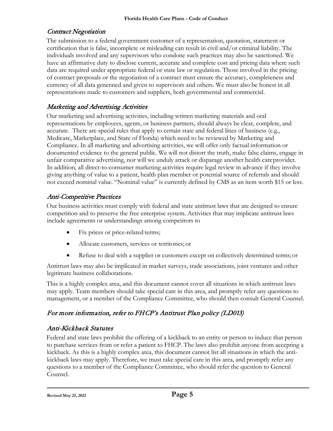### <span id="page-11-0"></span>Contract Negotiation

The submission to a federal government customer of a representation, quotation, statement or certification that is false, incomplete or misleading can result in civil and/or criminal liability. The individuals involved and any supervisors who condone such practices may also be sanctioned. We have an affirmative duty to disclose current, accurate and complete cost and pricing data where such data are required under appropriate federal or state law or regulation. Those involved in the pricing of contract proposals or the negotiation of a contract must ensure the accuracy, completeness and currency of all data generated and given to supervisors and others. We must also be honest in all representations made to customers and suppliers, both governmental and commercial.

### <span id="page-11-1"></span>Marketing and Advertising Activities

Our marketing and advertising activities, including written marketing materials and oral representations by employees, agents, or business partners, should always be clear, complete, and accurate. There are special rules that apply to certain state and federal lines of business (e.g., Medicare, Marketplace, and State of Florida) which need to be reviewed by Marketing and Compliance. In all marketing and advertising activities, we will offer only factual information or documented evidence to the general public. We will not distort the truth, make false claims, engage in unfair comparative advertising, nor will we unduly attack or disparage another health careprovider. In addition, all direct-to-consumer marketing activities require legal review in advance if they involve giving anything of value to a patient, health plan member or potential source of referrals and should not exceed nominal value. "Nominal value" is currently defined by CMS as an item worth \$15 or less.

# <span id="page-11-2"></span>Anti-Competitive Practices

Our business activities must comply with federal and state antitrust laws that are designed to ensure competition and to preserve the free enterprise system. Activities that may implicate antitrust laws include agreements or understandings among competitors to

- Fix prices or price-related terms;
- Allocate customers, services or territories; or
- Refuse to deal with a supplier or customers except on collectively determined terms; or

Antitrust laws may also be implicated in market surveys, trade associations, joint ventures and other legitimate business collaborations.

This is a highly complex area, and this document cannot cover all situations in which antitrust laws may apply. Team members should take special care in this area, and promptly refer any questions to management, or a member of the Compliance Committee, who should then consult General Counsel.

# For more information, refer to FHCP's Antitrust Plan policy (LD013)

# Anti-Kickback Statutes

Federal and state laws prohibit the offering of a kickback to an entity or person to induce that person to purchase services from or refer a patient to FHCP. The laws also prohibit anyone from accepting a kickback. As this is a highly complex area, this document cannot list all situations in which the antikickback laws may apply. Therefore, we must take special care in this area, and promptly refer any questions to a member of the Compliance Committee, who should refer the question to General Counsel.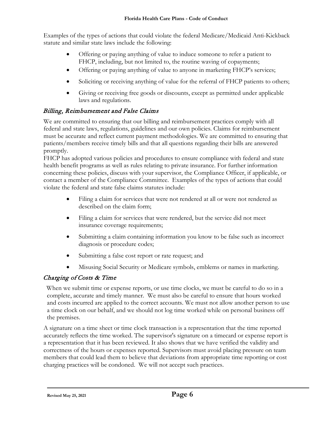Examples of the types of actions that could violate the federal Medicare/Medicaid Anti-Kickback statute and similar state laws include the following:

- Offering or paying anything of value to induce someone to refer a patient to FHCP, including, but not limited to, the routine waving of copayments;
- Offering or paying anything of value to anyone in marketing FHCP's services;
- Soliciting or receiving anything of value for the referral of FHCP patients to others;
- Giving or receiving free goods or discounts, except as permitted under applicable laws and regulations.

#### Billing, Reimbursement and False Claims

We are committed to ensuring that our billing and reimbursement practices comply with all federal and state laws, regulations, guidelines and our own policies. Claims for reimbursement must be accurate and reflect current payment methodologies. We are committed to ensuring that patients/members receive timely bills and that all questions regarding their bills are answered promptly.

FHCP has adopted various policies and procedures to ensure compliance with federal and state health benefit programs as well as rules relating to private insurance. For further information concerning these policies, discuss with your supervisor, the Compliance Officer, if applicable, or contact a member of the Compliance Committee. Examples of the types of actions that could violate the federal and state false claims statutes include:

- Filing a claim for services that were not rendered at all or were not rendered as described on the claim form;
- Filing a claim for services that were rendered, but the service did not meet insurance coverage requirements;
- Submitting a claim containing information you know to be false such as incorrect diagnosis or procedure codes;
- Submitting a false cost report or rate request; and
- <span id="page-12-0"></span>• Misusing Social Security or Medicare symbols, emblems or names in marketing.

#### Charging of Costs & Time

When we submit time or expense reports, or use time clocks, we must be careful to do so in a complete, accurate and timely manner. We must also be careful to ensure that hours worked and costs incurred are applied to the correct accounts. We must not allow another person to use a time clock on our behalf, and we should not log time worked while on personal business off the premises.

A signature on a time sheet or time clock transaction is a representation that the time reported accurately reflects the time worked. The supervisor's signature on a timecard or expense report is a representation that it has been reviewed. It also shows that we have verified the validity and correctness of the hours or expenses reported. Supervisors must avoid placing pressure on team members that could lead them to believe that deviations from appropriate time reporting or cost charging practices will be condoned. We will not accept such practices.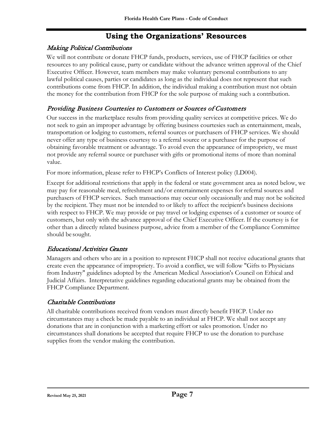# **Using the Organizations' Resources**

#### <span id="page-13-2"></span><span id="page-13-1"></span><span id="page-13-0"></span>Making Political Contributions

We will not contribute or donate FHCP funds, products, services, use of FHCP facilities or other resources to any political cause, party or candidate without the advance written approval of the Chief Executive Officer. However, team members may make voluntary personal contributions to any lawful political causes, parties or candidates as long as the individual does not represent that such contributions come from FHCP. In addition, the individual making a contribution must not obtain the money for the contribution from FHCP for the sole purpose of making such a contribution.

#### <span id="page-13-3"></span>Providing Business Courtesies to Customers or Sources of Customers

Our success in the marketplace results from providing quality services at competitive prices. We do not seek to gain an improper advantage by offering business courtesies such as entertainment, meals, transportation or lodging to customers, referral sources or purchasers of FHCP services. We should never offer any type of business courtesy to a referral source or a purchaser for the purpose of obtaining favorable treatment or advantage. To avoid even the appearance of impropriety, we must not provide any referral source or purchaser with gifts or promotional items of more than nominal value.

For more information, please refer to FHCP's Conflicts of Interest policy (LD004).

Except for additional restrictions that apply in the federal or state government area as noted below, we may pay for reasonable meal, refreshment and/or entertainment expenses for referral sources and purchasers of FHCP services. Such transactions may occur only occasionally and may not be solicited by the recipient. They must not be intended to or likely to affect the recipient's business decisions with respect to FHCP. We may provide or pay travel or lodging expenses of a customer or source of customers, but only with the advance approval of the Chief Executive Officer. If the courtesy is for other than a directly related business purpose, advice from a member of the Compliance Committee should be sought.

#### <span id="page-13-4"></span>Educational Activities Grants

Managers and others who are in a position to represent FHCP shall not receive educational grants that create even the appearance of impropriety. To avoid a conflict, we will follow "Gifts to Physicians from Industry" guidelines adopted by the American Medical Association's Council on Ethical and Judicial Affairs. Interpretative guidelines regarding educational grants may be obtained from the FHCP Compliance Department.

#### <span id="page-13-5"></span>Charitable Contributions

All charitable contributions received from vendors must directly benefit FHCP. Under no circumstances may a check be made payable to an individual at FHCP. We shall not accept any donations that are in conjunction with a marketing effort or sales promotion. Under no circumstances shall donations be accepted that require FHCP to use the donation to purchase supplies from the vendor making the contribution.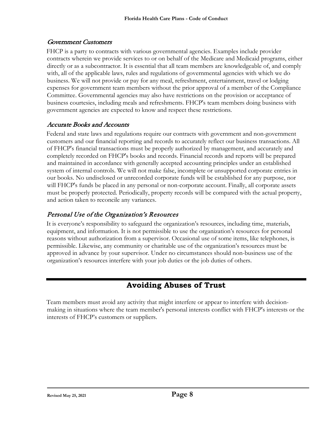#### <span id="page-14-1"></span>Government Customers

FHCP is a party to contracts with various governmental agencies. Examples include provider contracts wherein we provide services to or on behalf of the Medicare and Medicaid programs, either directly or as a subcontractor. It is essential that all team members are knowledgeable of, and comply with, all of the applicable laws, rules and regulations of governmental agencies with which we do business. We will not provide or pay for any meal, refreshment, entertainment, travel or lodging expenses for government team members without the prior approval of a member of the Compliance Committee. Governmental agencies may also have restrictions on the provision or acceptance of business courtesies, including meals and refreshments. FHCP's team members doing business with government agencies are expected to know and respect these restrictions.

#### <span id="page-14-2"></span>Accurate Books and Accounts

Federal and state laws and regulations require our contracts with government and non-government customers and our financial reporting and records to accurately reflect our business transactions. All of FHCP's financial transactions must be properly authorized by management, and accurately and completely recorded on FHCP's books and records. Financial records and reports will be prepared and maintained in accordance with generally accepted accounting principles under an established system of internal controls. We will not make false, incomplete or unsupported corporate entries in our books. No undisclosed or unrecorded corporate funds will be established for any purpose, nor will FHCP's funds be placed in any personal or non-corporate account. Finally, all corporate assets must be properly protected. Periodically, property records will be compared with the actual property, and action taken to reconcile any variances.

#### <span id="page-14-3"></span>Personal Use of the Organization's Resources

It is everyone's responsibility to safeguard the organization's resources, including time, materials, equipment, and information. It is not permissible to use the organization's resources for personal reasons without authorization from a supervisor. Occasional use of some items, like telephones, is permissible. Likewise, any community or charitable use of the organization's resources must be approved in advance by your supervisor. Under no circumstances should non-business use of the organization's resources interfere with your job duties or the job duties of others.

# **Avoiding Abuses of Trust**

<span id="page-14-0"></span>Team members must avoid any activity that might interfere or appear to interfere with decisionmaking in situations where the team member's personal interests conflict with FHCP's interests or the interests of FHCP's customers or suppliers.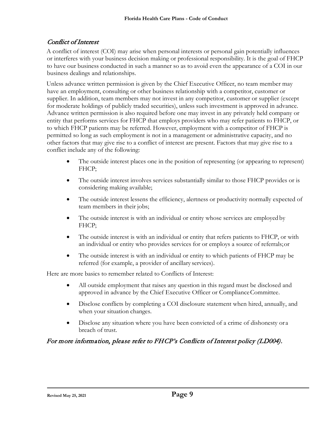#### <span id="page-15-0"></span>Conflict of Interest

A conflict of interest (COI) may arise when personal interests or personal gain potentially influences or interferes with your business decision making or professional responsibility. It is the goal of FHCP to have our business conducted in such a manner so as to avoid even the appearance of a COI in our business dealings and relationships.

Unless advance written permission is given by the Chief Executive Officer, no team member may have an employment, consulting or other business relationship with a competitor, customer or supplier. In addition, team members may not invest in any competitor, customer or supplier (except for moderate holdings of publicly traded securities), unless such investment is approved in advance. Advance written permission is also required before one may invest in any privately held company or entity that performs services for FHCP that employs providers who may refer patients to FHCP, or to which FHCP patients may be referred. However, employment with a competitor of FHCP is permitted so long as such employment is not in a management or administrative capacity, and no other factors that may give rise to a conflict of interest are present. Factors that may give rise to a conflict include any of the following:

- The outside interest places one in the position of representing (or appearing to represent) FHCP;
- The outside interest involves services substantially similar to those FHCP provides or is considering making available;
- The outside interest lessens the efficiency, alertness or productivity normally expected of team members in their jobs;
- The outside interest is with an individual or entity whose services are employed by FHCP;
- The outside interest is with an individual or entity that refers patients to FHCP, or with an individual or entity who provides services for or employs a source of referrals;or
- The outside interest is with an individual or entity to which patients of FHCP may be referred (for example, a provider of ancillary services).

Here are more basics to remember related to Conflicts of Interest:

- All outside employment that raises any question in this regard must be disclosed and approved in advance by the Chief Executive Officer or Compliance Committee.
- Disclose conflicts by completing a COI disclosure statement when hired, annually, and when your situation changes.
- Disclose any situation where you have been convicted of a crime of dishonesty or a breach of trust.

#### For more information, please refer to FHCP's Conflicts of Interest policy (LD004).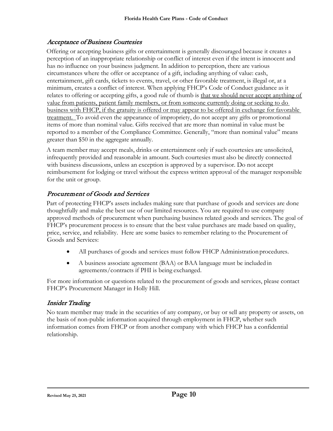#### <span id="page-16-0"></span>Acceptance of Business Courtesies

Offering or accepting business gifts or entertainment is generally discouraged because it creates a perception of an inappropriate relationship or conflict of interest even if the intent is innocent and has no influence on your business judgment. In addition to perception, there are various circumstances where the offer or acceptance of a gift, including anything of value: cash, entertainment, gift cards, tickets to events, travel, or other favorable treatment, is illegal or, at a minimum, creates a conflict of interest. When applying FHCP's Code of Conduct guidance as it relates to offering or accepting gifts, a good rule of thumb is that we should never accept anything of value from patients, patient family members, or from someone currently doing or seeking to do business with FHCP, if the gratuity is offered or may appear to be offered in exchange for favorable treatment. To avoid even the appearance of impropriety, do not accept any gifts or promotional items of more than nominal value. Gifts received that are more than nominal in value must be reported to a member of the Compliance Committee. Generally, "more than nominal value" means greater than \$50 in the aggregate annually.

A team member may accept meals, drinks or entertainment only if such courtesies are unsolicited, infrequently provided and reasonable in amount. Such courtesies must also be directly connected with business discussions, unless an exception is approved by a supervisor. Do not accept reimbursement for lodging or travel without the express written approval of the manager responsible for the unit or group.

### <span id="page-16-1"></span>Procurement of Goods and Services

Part of protecting FHCP's assets includes making sure that purchase of goods and services are done thoughtfully and make the best use of our limited resources. You are required to use company approved methods of procurement when purchasing business related goods and services. The goal of FHCP's procurement process is to ensure that the best value purchases are made based on quality, price, service, and reliability. Here are some basics to remember relating to the Procurement of Goods and Services:

- All purchases of goods and services must follow FHCP Administration procedures.
- A business associate agreement (BAA) or BAA language must be included in agreements/contracts if PHI is being exchanged.

For more information or questions related to the procurement of goods and services, please contact FHCP's Procurement Manager in Holly Hill.

#### <span id="page-16-2"></span>Insider Trading

No team member may trade in the securities of any company, or buy or sell any property or assets, on the basis of non-public information acquired through employment in FHCP, whether such information comes from FHCP or from another company with which FHCP has a confidential relationship.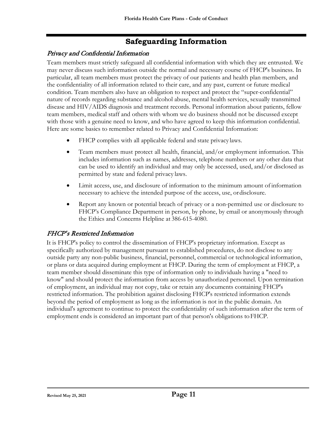# **Safeguarding Information**

### <span id="page-17-1"></span><span id="page-17-0"></span>Privacy and Confidential Information

Team members must strictly safeguard all confidential information with which they are entrusted. We may never discuss such information outside the normal and necessary course of FHCP's business. In particular, all team members must protect the privacy of our patients and health plan members, and the confidentiality of all information related to their care, and any past, current or future medical condition. Team members also have an obligation to respect and protect the "super-confidential" nature of records regarding substance and alcohol abuse, mental health services, sexually transmitted disease and HIV/AIDS diagnosis and treatment records. Personal information about patients, fellow team members, medical staff and others with whom we do business should not be discussed except with those with a genuine need to know, and who have agreed to keep this information confidential. Here are some basics to remember related to Privacy and Confidential Information:

- FHCP complies with all applicable federal and state privacy laws.
- Team members must protect all health, financial, and/or employment information. This includes information such as names, addresses, telephone numbers or any other data that can be used to identify an individual and may only be accessed, used, and/or disclosed as permitted by state and federal privacy laws.
- Limit access, use, and disclosure of information to the minimum amount of information necessary to achieve the intended purpose of the access, use, ordisclosure.
- Report any known or potential breach of privacy or a non-permitted use or disclosure to FHCP's Compliance Department in person, by phone, by email or anonymously through the Ethics and Concerns Helpline at 386-615-4080.

#### <span id="page-17-2"></span>FHCP's Restricted Information

It is FHCP's policy to control the dissemination of FHCP's proprietary information. Except as specifically authorized by management pursuant to established procedures, do not disclose to any outside party any non-public business, financial, personnel, commercial or technological information, or plans or data acquired during employment at FHCP. During the term of employment at FHCP, a team member should disseminate this type of information only to individuals having a "need to know" and should protect the information from access by unauthorized personnel. Upon termination of employment, an individual may not copy, take or retain any documents containing FHCP's restricted information. The prohibition against disclosing FHCP's restricted information extends beyond the period of employment as long as the information is not in the public domain. An individual's agreement to continue to protect the confidentiality of such information after the term of employment ends is considered an important part of that person's obligations toFHCP.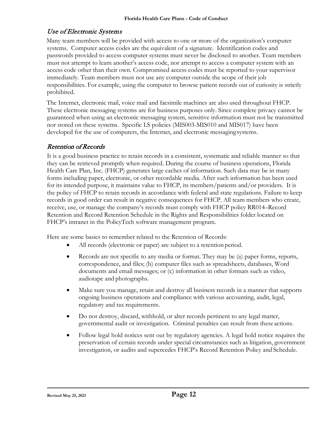#### <span id="page-18-0"></span>Use of Electronic Systems

Many team members will be provided with access to one or more of the organization's computer systems. Computer access codes are the equivalent of a signature. Identification codes and passwords provided to access computer systems must never be disclosed to another. Team members must not attempt to learn another's access code, nor attempt to access a computer system with an access code other than their own. Compromised access codes must be reported to your supervisor immediately. Team members must not use any computer outside the scope of their job responsibilities. For example, using the computer to browse patient records out of curiosity is strictly prohibited.

The Internet, electronic mail, voice mail and facsimile machines are also used throughout FHCP. These electronic messaging systems are for business purposes only. Since complete privacy cannot be guaranteed when using an electronic messaging system, sensitive information must not be transmitted nor stored on these systems. Specific I.S policies (MIS003-MIS010 and MIS017) have been developed for the use of computers, the Internet, and electronic messaging systems.

#### <span id="page-18-1"></span>Retention of Records

It is a good business practice to retain records in a consistent, systematic and reliable manner so that they can be retrieved promptly when required. During the course of business operations, Florida Health Care Plan, Inc. (FHCP) generates large caches of information. Such data may be in many forms including paper, electronic, or other recordable media. After such information has been used for its intended purpose, it maintains value to FHCP, its members/patients and/or providers. It is the policy of FHCP to retain records in accordance with federal and state regulations. Failure to keep records in good order can result in negative consequences for FHCP. All team members who create, receive, use, or manage the company's records must comply with FHCP policy RR014–Record Retention and Record Retention Schedule in the Rights and Responsibilities folder located on FHCP's intranet in the PolicyTech software management program.

Here are some basics to remember related to the Retention of Records:

- All records (electronic or paper) are subject to a retention period.
- Records are not specific to any media or format. They may be (a) paper forms, reports, correspondence, and files; (b) computer files such as spreadsheets, databases, Word documents and email messages; or (c) information in other formats such as video, audiotape and photographs.
- Make sure you manage, retain and destroy all business records in a manner that supports ongoing business operations and compliance with various accounting, audit, legal, regulatory and tax requirements.
- Do not destroy, discard, withhold, or alter records pertinent to any legal matter, governmental audit or investigation. Criminal penalties can result from these actions.
- Follow legal hold notices sent out by regulatory agencies. A legal hold notice requires the preservation of certain records under special circumstances such as litigation, government investigation, or audits and supercedes FHCP's Record Retention Policy and Schedule.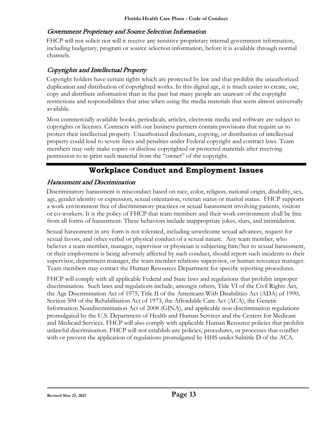#### <span id="page-19-1"></span>Government Proprietary and Source Selection Information

FHCP will not solicit nor will it receive any sensitive proprietary internal government information, including budgetary, program or source selection information, before it is available through normal channels.

#### <span id="page-19-2"></span>Copyrights and Intellectual Property

Copyright holders have certain rights which are protected by law and that prohibit the unauthorized duplication and distribution of copyrighted works. In this digital age, it is much easier to create, use, copy and distribute information than in the past but many people are unaware of the copyright restrictions and responsibilities that arise when using the media materials that seem almost universally available.

Most commercially available books, periodicals, articles, electronic media and software are subject to copyrights or licenses. Contracts with our business partners contain provisions that require us to protect their intellectual property. Unauthorized disclosure, copying, or distribution of intellectual property could lead to severe fines and penalties under Federal copyright and contract laws. Team members may only make copies or disclose copyrighted or protected materials after receiving permission to re-print such material from the "owner" of the copyright.

# **Workplace Conduct and Employment Issues**

#### <span id="page-19-3"></span><span id="page-19-0"></span>Harassment and Discrimination

Discriminatory harassment is misconduct based on race, color, religion, national origin, disability, sex, age, gender identity or expression, sexual orientation, veteran status or marital status. FHCP supports a work environment free of discriminatory practices or sexual harassment involving patients, visitors or co-workers. It is the policy of FHCP that team members and their work environment shall be free from all forms of harassment. These behaviors include inappropriate jokes, slurs, and intimidation.

Sexual harassment in any form is not tolerated, including unwelcome sexual advances, request for sexual favors, and other verbal or physical conduct of a sexual nature. Any team member, who believes a team member, manager, supervisor or physician is subjecting him/her to sexual harassment, or their employment is being adversely affected by such conduct, should report such incidents to their supervisor, department manager, the team member relations supervisor, or human resources manager. Team members may contact the Human Resources Department for specific reporting procedures.

FHCP will comply with all applicable Federal and State laws and regulations that prohibit improper discrimination. Such laws and regulations include, amongst others, Title VI of the Civil Rights Act, the Age Discrimination Act of 1975, Title II of the Americans With Disabilities Act (ADA) of 1990, Section 504 of the Rehabilitation Act of 1973, the Affordable Care Act (ACA), the Genetic Information Nondiscrimination Act of 2008 (GINA), and applicable non-discrimination regulations promulgated by the U.S. Department of Health and Human Services and the Centers for Medicare and Medicaid Services. FHCP will also comply with applicable Human Resource policies that prohibit unlawful discrimination. FHCP will not establish any policies, procedures, or processes that conflict with or prevent the application of regulations promulgated by HHS under Subtitle D of the ACA.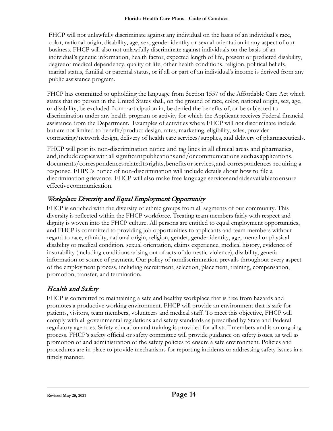FHCP will not unlawfully discriminate against any individual on the basis of an individual's race, color, national origin, disability, age, sex, gender identity or sexual orientation in any aspect of our business. FHCP will also not unlawfully discriminate against individuals on the basis of an individual's genetic information, health factor, expected length of life, present or predicted disability, degreeof medical dependency, quality of life, other health conditions, religion, political beliefs, marital status, familial or parental status, or if all or part of an individual's income is derived from any public assistance program.

FHCP has committed to upholding the language from Section 1557 of the Affordable Care Act which states that no person in the United States shall, on the ground of race, color, national origin, sex, age, or disability, be excluded from participation in, be denied the benefits of, or be subjected to discrimination under any health program or activity for which the Applicant receives Federal financial assistance from the Department. Examples of activities where FHCP will not discriminate include but are not limited to benefit/product design, rates, marketing, eligibility, sales, provider contracting/network design, delivery of health care services/supplies, and delivery of pharmaceuticals.

FHCP will post its non-discrimination notice and tag lines in all clinical areas and pharmacies, and, include copies with all significant publications and/or communications such as applications, documents/correspondencesrelatedtorights,benefitsorservices,and correspondences requiring a response. FHPC's notice of non-discrimination will include details about how to file a discrimination grievance. FHCP will also make free language servicesandaidsavailabletoensure effectivecommunication.

# <span id="page-20-0"></span>Workplace Diversity and Equal Employment Opportunity

FHCP is enriched with the diversity of ethnic groups from all segments of our community. This diversity is reflected within the FHCP workforce. Treating team members fairly with respect and dignity is woven into the FHCP culture. All persons are entitled to equal employment opportunities, and FHCP is committed to providing job opportunities to applicants and team members without regard to race, ethnicity, national origin, religion, gender, gender identity, age, mental or physical disability or medical condition, sexual orientation, claims experience, medical history, evidence of insurability (including conditions arising out of acts of domestic violence), disability, genetic information or source of payment. Our policy of nondiscrimination prevails throughout every aspect of the employment process, including recruitment, selection, placement, training, compensation, promotion, transfer, and termination.

#### <span id="page-20-1"></span>Health and Safety

FHCP is committed to maintaining a safe and healthy workplace that is free from hazards and promotes a productive working environment. FHCP will provide an environment that is safe for patients, visitors, team members, volunteers and medical staff. To meet this objective, FHCP will comply with all governmental regulations and safety standards as prescribed by State and Federal regulatory agencies. Safety education and training is provided for all staff members and is an ongoing process. FHCP's safety official or safety committee will provide guidance on safety issues, as well as promotion of and administration of the safety policies to ensure a safe environment. Policies and procedures are in place to provide mechanisms for reporting incidents or addressing safety issues in a timely manner.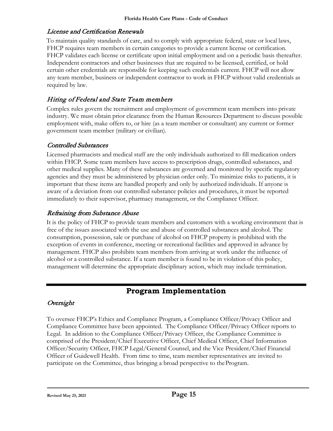#### <span id="page-21-1"></span>License and Certification Renewals

To maintain quality standards of care, and to comply with appropriate federal, state or local laws, FHCP requires team members in certain categories to provide a current license or certification. FHCP validates each license or certificate upon initial employment and on a periodic basis thereafter. Independent contractors and other businesses that are required to be licensed, certified, or hold certain other credentials are responsible for keeping such credentials current. FHCP will not allow any team member, business or independent contractor to work in FHCP without valid credentials as required by law.

### <span id="page-21-2"></span>Hiring of Federal and State Team members

Complex rules govern the recruitment and employment of government team members into private industry. We must obtain prior clearance from the Human Resources Department to discuss possible employment with, make offers to, or hire (as a team member or consultant) any current or former government team member (military or civilian).

#### Controlled Substances

Licensed pharmacists and medical staff are the only individuals authorized to fill medication orders within FHCP. Some team members have access to prescription drugs, controlled substances, and other medical supplies. Many of these substances are governed and monitored by specific regulatory agencies and they must be administered by physician order only. To minimize risks to patients, it is important that these items are handled properly and only by authorized individuals. If anyone is aware of a deviation from our controlled substance policies and procedures, it must be reported immediately to their supervisor, pharmacy management, or the Compliance Officer.

### Refraining from Substance Abuse

It is the policy of FHCP to provide team members and customers with a working environment that is free of the issues associated with the use and abuse of controlled substances and alcohol. The consumption, possession, sale or purchase of alcohol on FHCP property is prohibited with the exception of events in conference, meeting or recreational facilities and approved in advance by management. FHCP also prohibits team members from arriving at work under the influence of alcohol or a controlled substance. If a team member is found to be in violation of this policy, management will determine the appropriate disciplinary action, which may include termination.

# **Program Implementation**

#### <span id="page-21-0"></span>Oversight

To oversee FHCP's Ethics and Compliance Program, a Compliance Officer/Privacy Officer and Compliance Committee have been appointed. The Compliance Officer/Privacy Officer reports to Legal. In addition to the Compliance Officer/Privacy Officer, the Compliance Committee is comprised of the President/Chief Executive Officer, Chief Medical Officer, Chief Information Officer/Security Officer, FHCP Legal/General Counsel, and the Vice President/Chief Financial Officer of Guidewell Health. From time to time, team member representatives are invited to participate on the Committee, thus bringing a broad perspective to theProgram.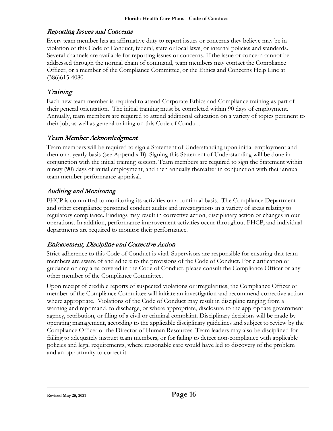#### Reporting Issues and Concerns

Every team member has an affirmative duty to report issues or concerns they believe may be in violation of this Code of Conduct, federal, state or local laws, or internal policies and standards. Several channels are available for reporting issues or concerns. If the issue or concern cannot be addressed through the normal chain of command, team members may contact the Compliance Officer, or a member of the Compliance Committee, or the Ethics and Concerns Help Line at (386)615-4080.

# Training

Each new team member is required to attend Corporate Ethics and Compliance training as part of their general orientation. The initial training must be completed within 90 days of employment. Annually, team members are required to attend additional education on a variety of topics pertinent to their job, as well as general training on this Code of Conduct.

#### Team Member Acknowledgment

Team members will be required to sign a Statement of Understanding upon initial employment and then on a yearly basis (see Appendix B). Signing this Statement of Understanding will be done in conjunction with the initial training session. Team members are required to sign the Statement within ninety (90) days of initial employment, and then annually thereafter in conjunction with their annual team member performance appraisal.

#### Auditing and Monitoring

FHCP is committed to monitoring its activities on a continual basis. The Compliance Department and other compliance personnel conduct audits and investigations in a variety of areas relating to regulatory compliance. Findings may result in corrective action, disciplinary action or changes in our operations. In addition, performance improvement activities occur throughout FHCP, and individual departments are required to monitor their performance.

#### Enforcement, Discipline and Corrective Action

Strict adherence to this Code of Conduct is vital. Supervisors are responsible for ensuring that team members are aware of and adhere to the provisions of the Code of Conduct. For clarification or guidance on any area covered in the Code of Conduct, please consult the Compliance Officer or any other member of the Compliance Committee.

Upon receipt of credible reports of suspected violations or irregularities, the Compliance Officer or member of the Compliance Committee will initiate an investigation and recommend corrective action where appropriate. Violations of the Code of Conduct may result in discipline ranging from a warning and reprimand, to discharge, or where appropriate, disclosure to the appropriate government agency, retribution, or filing of a civil or criminal complaint. Disciplinary decisions will be made by operating management, according to the applicable disciplinary guidelines and subject to review by the Compliance Officer or the Director of Human Resources. Team leaders may also be disciplined for failing to adequately instruct team members, or for failing to detect non-compliance with applicable policies and legal requirements, where reasonable care would have led to discovery of the problem and an opportunity to correct it.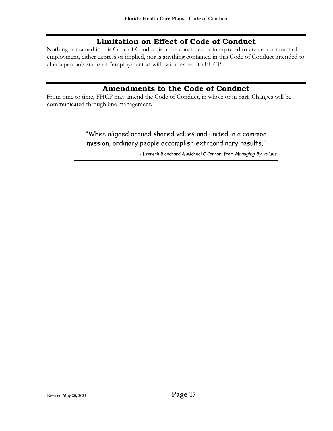# **Limitation on Effect of Code of Conduct**

Nothing contained in this Code of Conduct is to be construed or interpreted to create a contract of employment, either express or implied, nor is anything contained in this Code of Conduct intended to alter a person's status of "employment-at-will" with respect to FHCP.

### **Amendments to the Code of Conduct**

From time to time, FHCP may amend the Code of Conduct, in whole or in part. Changes will be communicated through line management.

> "When aligned around shared values and united in a common mission, ordinary people accomplish extraordinary results."

> > - Kenneth Blanchard & Micheal O'Connor, from *Managing By Values*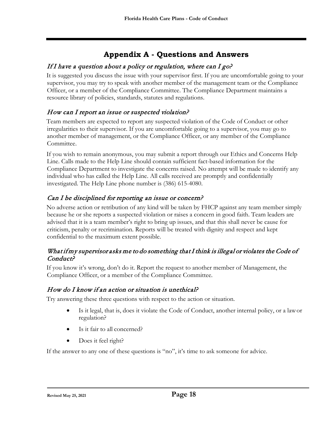# **Appendix A - Questions and Answers**

#### <span id="page-24-0"></span>If I have a question about a policy or regulation, where can I go?

It is suggested you discuss the issue with your supervisor first. If you are uncomfortable going to your supervisor, you may try to speak with another member of the management team or the Compliance Officer, or a member of the Compliance Committee. The Compliance Department maintains a resource library of policies, standards, statutes and regulations.

#### How can I report an issue or suspected violation?

Team members are expected to report any suspected violation of the Code of Conduct or other irregularities to their supervisor. If you are uncomfortable going to a supervisor, you may go to another member of management, or the Compliance Officer, or any member of the Compliance Committee.

If you wish to remain anonymous, you may submit a report through our Ethics and Concerns Help Line. Calls made to the Help Line should contain sufficient fact-based information for the Compliance Department to investigate the concerns raised. No attempt will be made to identify any individual who has called the Help Line. All calls received are promptly and confidentially investigated. The Help Line phone number is (386) 615-4080.

### Can I be disciplined for reporting an issue or concern?

No adverse action or retribution of any kind will be taken by FHCP against any team member simply because he or she reports a suspected violation or raises a concern in good faith. Team leaders are advised that it is a team member's right to bring up issues, and that this shall never be cause for criticism, penalty or recrimination. Reports will be treated with dignity and respect and kept confidential to the maximum extent possible.

#### What if my supervisor asks me to do something that I think is illegal or violates the Code of Conduct?

If you know it's wrong, don't do it. Report the request to another member of Management, the Compliance Officer, or a member of the Compliance Committee.

#### How do I know if an action or situation is unethical?

Try answering these three questions with respect to the action or situation.

- Is it legal, that is, does it violate the Code of Conduct, another internal policy, or a lawor regulation?
- Is it fair to all concerned?
- Does it feel right?

If the answer to any one of these questions is "no", it's time to ask someone for advice.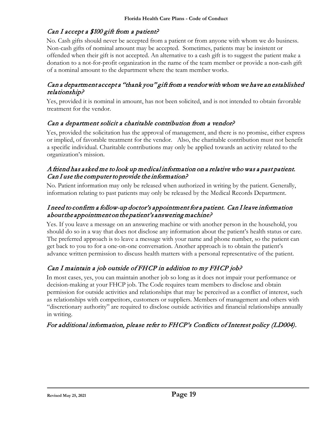### Can I accept a \$100 gift from a patient?

No. Cash gifts should never be accepted from a patient or from anyone with whom we do business. Non-cash gifts of nominal amount may be accepted. Sometimes, patients may be insistent or offended when their gift is not accepted. An alternative to a cash gift is to suggest the patient make a donation to a not-for-profit organization in the name of the team member or provide a non-cash gift of a nominal amount to the department where the team member works.

#### Can a department accept a "thank you" gift from a vendor with whom we have an established relationship?

Yes, provided it is nominal in amount, has not been solicited, and is not intended to obtain favorable treatment for the vendor.

#### Can a department solicit a charitable contribution from a vendor?

Yes, provided the solicitation has the approval of management, and there is no promise, either express or implied, of favorable treatment for the vendor. Also, the charitable contribution must not benefit a specific individual. Charitable contributions may only be applied towards an activity related to the organization's mission.

#### A friend has asked me to look up medical information on a relative who was a past patient. Can I use the computer to provide the information?

No. Patient information may only be released when authorized in writing by the patient. Generally, information relating to past patients may only be released by the Medical Records Department.

#### I need to confirm a follow-up doctor's appointment for a patient. Can I leave information about the appointment on the patient's answering machine?

Yes. If you leave a message on an answering machine or with another person in the household, you should do so in a way that does not disclose any information about the patient's health status or care. The preferred approach is to leave a message with your name and phone number, so the patient can get back to you to for a one-on-one conversation. Another approach is to obtain the patient's advance written permission to discuss health matters with a personal representative of the patient.

# Can I maintain a job outside of FHCP in addition to my FHCP job?

In most cases, yes, you can maintain another job so long as it does not impair your performance or decision-making at your FHCP job. The Code requires team members to disclose and obtain permission for outside activities and relationships that may be perceived as a conflict of interest, such as relationships with competitors, customers or suppliers. Members of management and others with "discretionary authority" are required to disclose outside activities and financial relationships annually in writing.

#### For additional information, please refer to FHCP's Conflicts of Interest policy (LD004).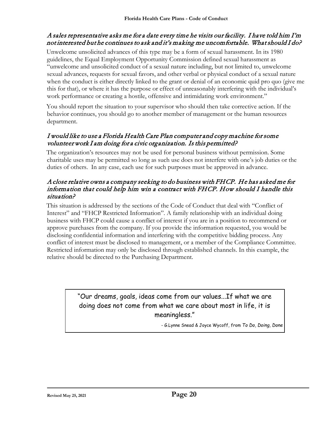#### A sales representative asks me for a date every time he visits our facility. I have told him I'm not interested but he continues to ask and it's making me uncomfortable. What should I do?

Unwelcome unsolicited advances of this type may be a form of sexual harassment. In its 1980 guidelines, the Equal Employment Opportunity Commission defined sexual harassment as "unwelcome and unsolicited conduct of a sexual nature including, but not limited to, unwelcome sexual advances, requests for sexual favors, and other verbal or physical conduct of a sexual nature when the conduct is either directly linked to the grant or denial of an economic quid pro quo (give me this for that), or where it has the purpose or effect of unreasonably interfering with the individual's work performance or creating a hostile, offensive and intimidating work environment."

You should report the situation to your supervisor who should then take corrective action. If the behavior continues, you should go to another member of management or the human resources department.

#### I would like to use a Florida Health Care Plan computer and copy machine for some volunteer work I am doing for a civic organization. Is this permitted?

The organization's resources may not be used for personal business without permission. Some charitable uses may be permitted so long as such use does not interfere with one's job duties or the duties of others. In any case, each use for such purposes must be approved in advance.

#### A close relative owns a company seeking to do business with FHCP. He has asked me for information that could help him win a contract with FHCP. How should I handle this situation?

This situation is addressed by the sections of the Code of Conduct that deal with "Conflict of Interest" and "FHCP Restricted Information". A family relationship with an individual doing business with FHCP could cause a conflict of interest if you are in a position to recommend or approve purchases from the company. If you provide the information requested, you would be disclosing confidential information and interfering with the competitive bidding process. Any conflict of interest must be disclosed to management, or a member of the Compliance Committee. Restricted information may only be disclosed through established channels. In this example, the relative should be directed to the Purchasing Department.

# "Our dreams, goals, ideas come from our values...If what we are doing does not come from what we care about most in life, it is meaningless."

- G.Lynne Snead & Joyce Wycoff, from *To Do, Doing, Done*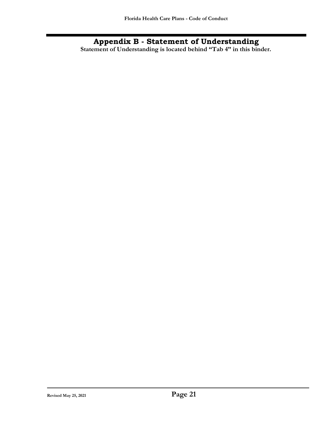**Appendix B - Statement of Understanding Statement of Understanding is located behind "Tab 4" in this binder.**